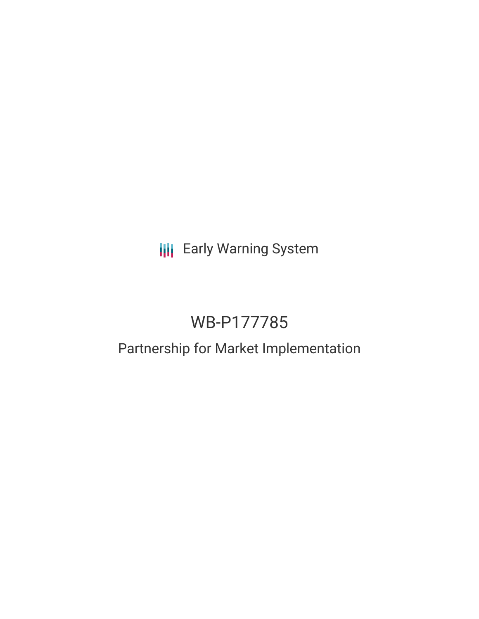# **III** Early Warning System

## WB-P177785

### Partnership for Market Implementation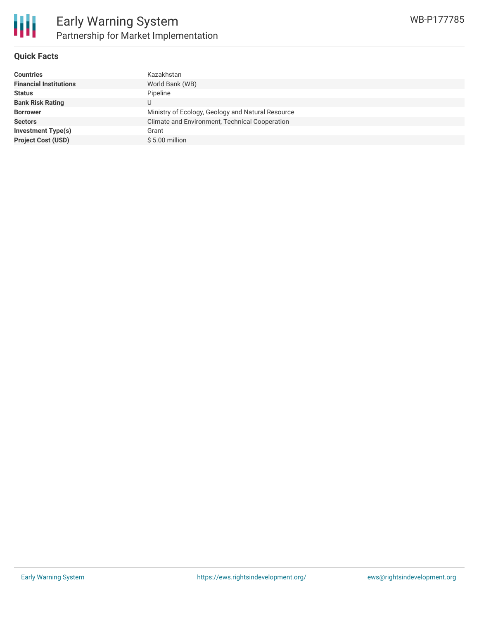

#### **Quick Facts**

| <b>Countries</b>              | Kazakhstan                                        |
|-------------------------------|---------------------------------------------------|
| <b>Financial Institutions</b> | World Bank (WB)                                   |
| <b>Status</b>                 | Pipeline                                          |
| <b>Bank Risk Rating</b>       | U                                                 |
| <b>Borrower</b>               | Ministry of Ecology, Geology and Natural Resource |
| <b>Sectors</b>                | Climate and Environment, Technical Cooperation    |
| <b>Investment Type(s)</b>     | Grant                                             |
| <b>Project Cost (USD)</b>     | $$5.00$ million                                   |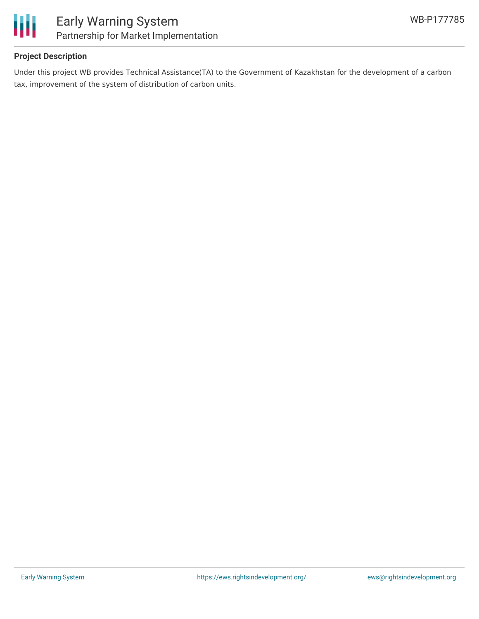

#### **Project Description**

Under this project WB provides Technical Assistance(TA) to the Government of Kazakhstan for the development of a carbon tax, improvement of the system of distribution of carbon units.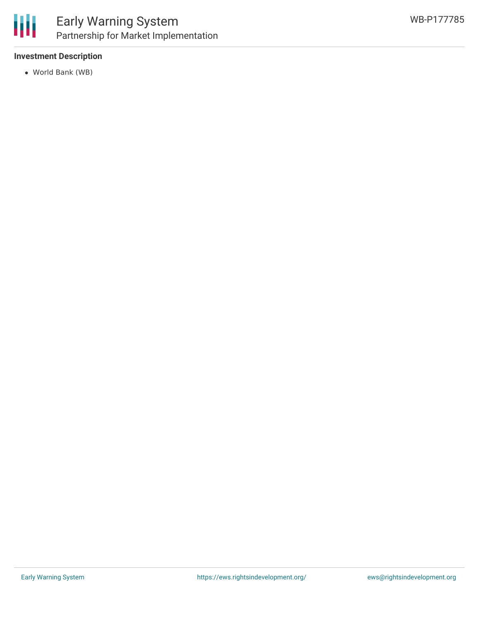

#### **Investment Description**

World Bank (WB)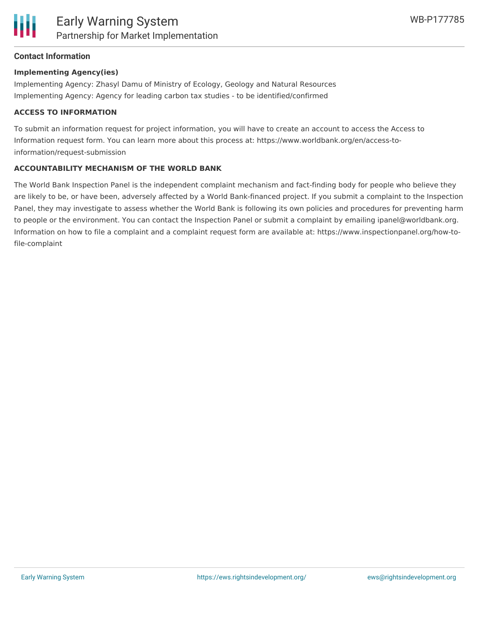

#### **Contact Information**

#### **Implementing Agency(ies)**

Implementing Agency: Zhasyl Damu of Ministry of Ecology, Geology and Natural Resources Implementing Agency: Agency for leading carbon tax studies - to be identified/confirmed

#### **ACCESS TO INFORMATION**

To submit an information request for project information, you will have to create an account to access the Access to Information request form. You can learn more about this process at: https://www.worldbank.org/en/access-toinformation/request-submission

#### **ACCOUNTABILITY MECHANISM OF THE WORLD BANK**

The World Bank Inspection Panel is the independent complaint mechanism and fact-finding body for people who believe they are likely to be, or have been, adversely affected by a World Bank-financed project. If you submit a complaint to the Inspection Panel, they may investigate to assess whether the World Bank is following its own policies and procedures for preventing harm to people or the environment. You can contact the Inspection Panel or submit a complaint by emailing ipanel@worldbank.org. Information on how to file a complaint and a complaint request form are available at: https://www.inspectionpanel.org/how-tofile-complaint